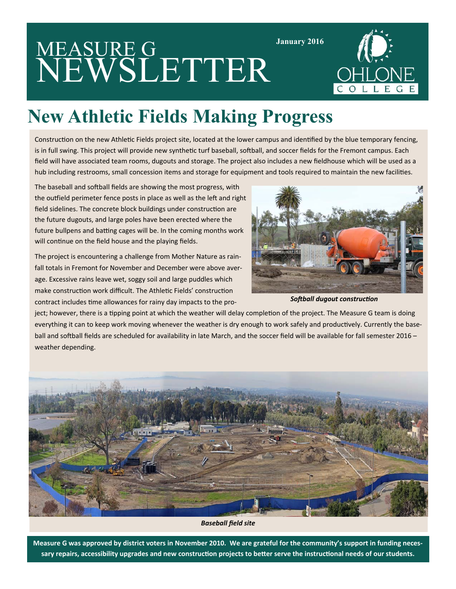# MEASURE G NEWSLETTER



## **New Athletic Fields Making Progress**

Construction on the new Athletic Fields project site, located at the lower campus and identified by the blue temporary fencing, is in full swing. This project will provide new synthetic turf baseball, softball, and soccer fields for the Fremont campus. Each field will have associated team rooms, dugouts and storage. The project also includes a new fieldhouse which will be used as a hub including restrooms, small concession items and storage for equipment and tools required to maintain the new facilities.

The baseball and softball fields are showing the most progress, with the outfield perimeter fence posts in place as well as the left and right field sidelines. The concrete block buildings under construction are the future dugouts, and large poles have been erected where the future bullpens and batting cages will be. In the coming months work will continue on the field house and the playing fields.

The project is encountering a challenge from Mother Nature as rain‐ fall totals in Fremont for November and December were above aver‐ age. Excessive rains leave wet, soggy soil and large puddles which make construction work difficult. The Athletic Fields' construction contract includes time allowances for rainy day impacts to the pro-



**January 2016** 

**Softball dugout construction** 

ject; however, there is a tipping point at which the weather will delay completion of the project. The Measure G team is doing everything it can to keep work moving whenever the weather is dry enough to work safely and productively. Currently the baseball and softball fields are scheduled for availability in late March, and the soccer field will be available for fall semester 2016 weather depending.



*Baseball field site* 

**Measure G was approved by district voters in November 2010. We are grateful for the community's support in funding neces‐** sary repairs, accessibility upgrades and new construction projects to better serve the instructional needs of our students.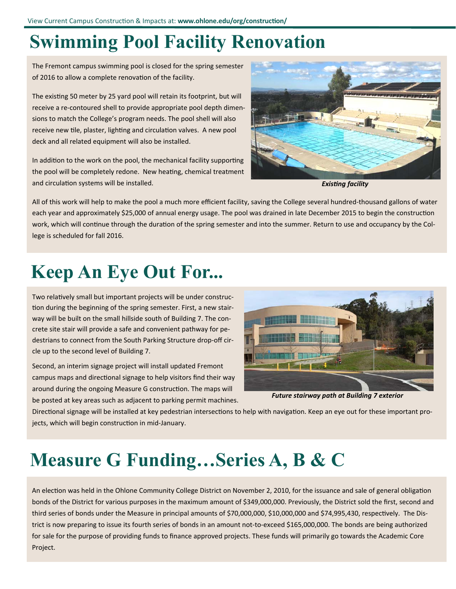#### **Swimming Pool Facility Renovation**

The Fremont campus swimming pool is closed for the spring semester of 2016 to allow a complete renovation of the facility.

The existing 50 meter by 25 yard pool will retain its footprint, but will receive a re-contoured shell to provide appropriate pool depth dimensions to match the College's program needs. The pool shell will also receive new tile, plaster, lighting and circulation valves. A new pool deck and all related equipment will also be installed.

In addition to the work on the pool, the mechanical facility supporting the pool will be completely redone. New heating, chemical treatment and circulation systems will be installed.



*ExisƟng facility* 

All of this work will help to make the pool a much more efficient facility, saving the College several hundred‐thousand gallons of water each year and approximately \$25,000 of annual energy usage. The pool was drained in late December 2015 to begin the construction work, which will continue through the duration of the spring semester and into the summer. Return to use and occupancy by the College is scheduled for fall 2016.

#### **Keep An Eye Out For...**

Two relatively small but important projects will be under construction during the beginning of the spring semester. First, a new stairway will be built on the small hillside south of Building 7. The concrete site stair will provide a safe and convenient pathway for pe‐ destrians to connect from the South Parking Structure drop‐off cir‐ cle up to the second level of Building 7.

Second, an interim signage project will install updated Fremont campus maps and directional signage to help visitors find their way around during the ongoing Measure G construction. The maps will be posted at key areas such as adjacent to parking permit machines.



*Future stairway path at Building 7 exterior* 

Directional signage will be installed at key pedestrian intersections to help with navigation. Keep an eye out for these important projects, which will begin construction in mid-January.

#### **Measure G Funding…Series A, B & C**

An election was held in the Ohlone Community College District on November 2, 2010, for the issuance and sale of general obligation bonds of the District for various purposes in the maximum amount of \$349,000,000. Previously, the District sold the first, second and third series of bonds under the Measure in principal amounts of \$70,000,000, \$10,000,000 and \$74,995,430, respectively. The District is now preparing to issue its fourth series of bonds in an amount not‐to‐exceed \$165,000,000. The bonds are being authorized for sale for the purpose of providing funds to finance approved projects. These funds will primarily go towards the Academic Core Project.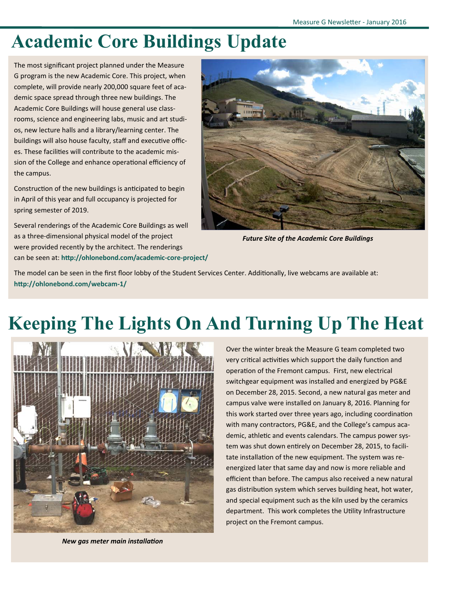#### **Academic Core Buildings Update**

The most significant project planned under the Measure G program is the new Academic Core. This project, when complete, will provide nearly 200,000 square feet of academic space spread through three new buildings. The Academic Core Buildings will house general use class‐ rooms, science and engineering labs, music and art studi‐ os, new lecture halls and a library/learning center. The buildings will also house faculty, staff and executive offices. These facilities will contribute to the academic mission of the College and enhance operational efficiency of the campus.

Construction of the new buildings is anticipated to begin in April of this year and full occupancy is projected for spring semester of 2019.

Several renderings of the Academic Core Buildings as well as a three‐dimensional physical model of the project were provided recently by the architect. The renderings can be seen at: **hƩp://ohlonebond.com/academic‐core‐project/**



*Future Site of the Academic Core Buildings* 

The model can be seen in the first floor lobby of the Student Services Center. Additionally, live webcams are available at: http://ohlonebond.com/webcam-1/

### **Keeping The Lights On And Turning Up The Heat**



*New gas meter main installaƟon*

Over the winter break the Measure G team completed two very critical activities which support the daily function and operation of the Fremont campus. First, new electrical switchgear equipment was installed and energized by PG&E on December 28, 2015. Second, a new natural gas meter and campus valve were installed on January 8, 2016. Planning for this work started over three years ago, including coordination with many contractors, PG&E, and the College's campus aca‐ demic, athletic and events calendars. The campus power system was shut down entirely on December 28, 2015, to facilitate installation of the new equipment. The system was reenergized later that same day and now is more reliable and efficient than before. The campus also received a new natural gas distribution system which serves building heat, hot water, and special equipment such as the kiln used by the ceramics department. This work completes the Utility Infrastructure project on the Fremont campus.